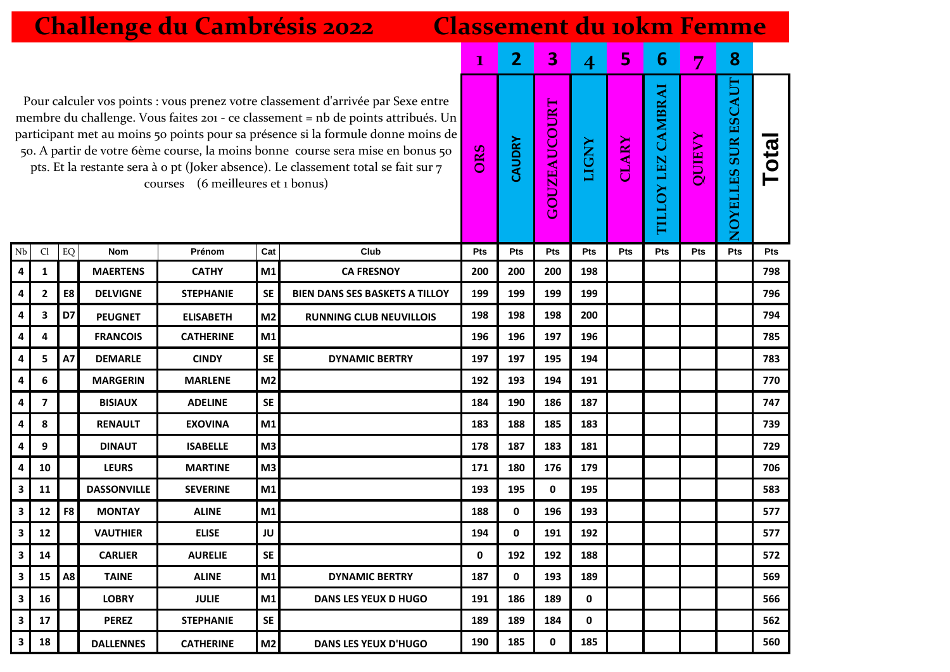|                                                                                                                                                                                                                                                                                                                                                                                                                                                                           | <b>Challenge du Cambrésis 2022</b><br><b>Classement du jokm Femme</b> |            |                    |                  |                |                                       |                |                         |                     |              |              |                                                |               |                              |      |
|---------------------------------------------------------------------------------------------------------------------------------------------------------------------------------------------------------------------------------------------------------------------------------------------------------------------------------------------------------------------------------------------------------------------------------------------------------------------------|-----------------------------------------------------------------------|------------|--------------------|------------------|----------------|---------------------------------------|----------------|-------------------------|---------------------|--------------|--------------|------------------------------------------------|---------------|------------------------------|------|
|                                                                                                                                                                                                                                                                                                                                                                                                                                                                           |                                                                       |            |                    |                  |                | $\mathbf{1}$                          | $\overline{2}$ | $\overline{\mathbf{3}}$ | $\overline{4}$      | 5            | 6            | $\overline{7}$                                 | 8             |                              |      |
| Pour calculer vos points : vous prenez votre classement d'arrivée par Sexe entre<br>membre du challenge. Vous faites 201 - ce classement = nb de points attribués. Un<br>participant met au moins 50 points pour sa présence si la formule donne moins de<br>50. A partir de votre 6ème course, la moins bonne course sera mise en bonus 50<br>pts. Et la restante sera à o pt (Joker absence). Le classement total se fait sur 7<br>(6 meilleures et 1 bonus)<br>courses |                                                                       |            |                    |                  |                |                                       |                |                         | <b>GOUZEAUCOURT</b> | <b>LIGNY</b> | <b>CLARY</b> | <b>LEZ CAMBRAI</b><br>$\overline{\delta}$<br>Ξ | <b>QUIEVY</b> | <b>SURESCAUT</b><br>NOYELLES | Tota |
| Nb                                                                                                                                                                                                                                                                                                                                                                                                                                                                        | C <sub>1</sub>                                                        | ${\rm EQ}$ | <b>Nom</b>         | Prénom           | Cat            | Club                                  | Pts            | Pts                     | Pts                 | Pts          | Pts          | Pts                                            | Pts           | Pts                          | Pts  |
| 4                                                                                                                                                                                                                                                                                                                                                                                                                                                                         | 1                                                                     |            | <b>MAERTENS</b>    | <b>CATHY</b>     | M1             | <b>CA FRESNOY</b>                     | 200            | 200                     | 200                 | 198          |              |                                                |               |                              | 798  |
| 4                                                                                                                                                                                                                                                                                                                                                                                                                                                                         | 2                                                                     | E8         | <b>DELVIGNE</b>    | <b>STEPHANIE</b> | <b>SE</b>      | <b>BIEN DANS SES BASKETS A TILLOY</b> | 199            | 199                     | 199                 | 199          |              |                                                |               |                              | 796  |
| 4                                                                                                                                                                                                                                                                                                                                                                                                                                                                         | 3                                                                     | D7         | <b>PEUGNET</b>     | <b>ELISABETH</b> | M <sub>2</sub> | <b>RUNNING CLUB NEUVILLOIS</b>        | 198            | 198                     | 198                 | 200          |              |                                                |               |                              | 794  |
| 4                                                                                                                                                                                                                                                                                                                                                                                                                                                                         | 4                                                                     |            | <b>FRANCOIS</b>    | <b>CATHERINE</b> | M1             |                                       | 196            | 196                     | 197                 | 196          |              |                                                |               |                              | 785  |
| 4                                                                                                                                                                                                                                                                                                                                                                                                                                                                         | 5                                                                     | A7         | <b>DEMARLE</b>     | <b>CINDY</b>     | <b>SE</b>      | <b>DYNAMIC BERTRY</b>                 | 197            | 197                     | 195                 | 194          |              |                                                |               |                              | 783  |
| 4                                                                                                                                                                                                                                                                                                                                                                                                                                                                         | 6                                                                     |            | <b>MARGERIN</b>    | <b>MARLENE</b>   | M <sub>2</sub> |                                       | 192            | 193                     | 194                 | 191          |              |                                                |               |                              | 770  |
| 4                                                                                                                                                                                                                                                                                                                                                                                                                                                                         | $\overline{\mathbf{z}}$                                               |            | <b>BISIAUX</b>     | <b>ADELINE</b>   | <b>SE</b>      |                                       | 184            | 190                     | 186                 | 187          |              |                                                |               |                              | 747  |
| 4                                                                                                                                                                                                                                                                                                                                                                                                                                                                         | 8                                                                     |            | <b>RENAULT</b>     | <b>EXOVINA</b>   | M <sub>1</sub> |                                       | 183            | 188                     | 185                 | 183          |              |                                                |               |                              | 739  |
| 4                                                                                                                                                                                                                                                                                                                                                                                                                                                                         | 9                                                                     |            | <b>DINAUT</b>      | <b>ISABELLE</b>  | M <sub>3</sub> |                                       | 178            | 187                     | 183                 | 181          |              |                                                |               |                              | 729  |
| 4                                                                                                                                                                                                                                                                                                                                                                                                                                                                         | 10                                                                    |            | <b>LEURS</b>       | <b>MARTINE</b>   | M3             |                                       | 171            | 180                     | 176                 | 179          |              |                                                |               |                              | 706  |
| 3                                                                                                                                                                                                                                                                                                                                                                                                                                                                         | 11                                                                    |            | <b>DASSONVILLE</b> | <b>SEVERINE</b>  | M1             |                                       | 193            | 195                     | $\mathbf 0$         | 195          |              |                                                |               |                              | 583  |
| 3                                                                                                                                                                                                                                                                                                                                                                                                                                                                         | 12                                                                    | F8         | <b>MONTAY</b>      | <b>ALINE</b>     | M1             |                                       | 188            | 0                       | 196                 | 193          |              |                                                |               |                              | 577  |
| 3                                                                                                                                                                                                                                                                                                                                                                                                                                                                         | 12                                                                    |            | <b>VAUTHIER</b>    | <b>ELISE</b>     | JU             |                                       | 194            | 0                       | 191                 | 192          |              |                                                |               |                              | 577  |
| 3                                                                                                                                                                                                                                                                                                                                                                                                                                                                         | 14                                                                    |            | <b>CARLIER</b>     | <b>AURELIE</b>   | <b>SE</b>      |                                       | 0              | 192                     | 192                 | 188          |              |                                                |               |                              | 572  |
| 3                                                                                                                                                                                                                                                                                                                                                                                                                                                                         | 15                                                                    | A8         | <b>TAINE</b>       | <b>ALINE</b>     | M1             | <b>DYNAMIC BERTRY</b>                 | 187            | 0                       | 193                 | 189          |              |                                                |               |                              | 569  |
| 3                                                                                                                                                                                                                                                                                                                                                                                                                                                                         | 16                                                                    |            | <b>LOBRY</b>       | <b>JULIE</b>     | M1             | <b>DANS LES YEUX D HUGO</b>           | 191            | 186                     | 189                 | 0            |              |                                                |               |                              | 566  |
| 3                                                                                                                                                                                                                                                                                                                                                                                                                                                                         | 17                                                                    |            | <b>PEREZ</b>       | <b>STEPHANIE</b> | <b>SE</b>      |                                       | 189            | 189                     | 184                 | 0            |              |                                                |               |                              | 562  |
| 3                                                                                                                                                                                                                                                                                                                                                                                                                                                                         | 18                                                                    |            | <b>DALLENNES</b>   | <b>CATHERINE</b> | M <sub>2</sub> | <b>DANS LES YEUX D'HUGO</b>           | 190            | 185                     | 0                   | 185          |              |                                                |               |                              | 560  |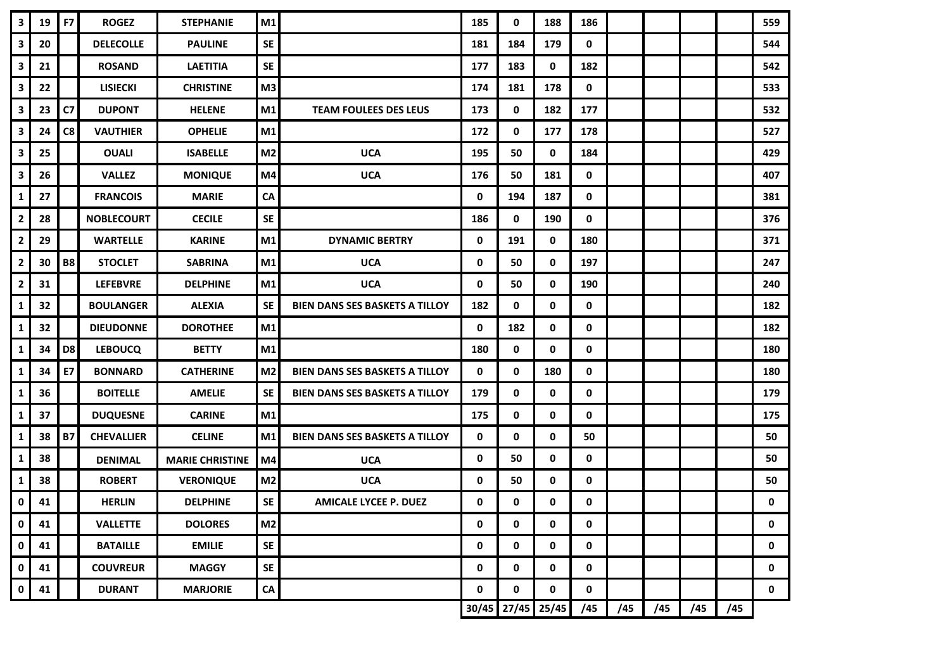| $\mathbf{3}$            | 19 | F7             | <b>ROGEZ</b>      | <b>STEPHANIE</b>       | M1             |                                       | 185   | 0           | 188   | 186       |     |     |     |     | 559 |
|-------------------------|----|----------------|-------------------|------------------------|----------------|---------------------------------------|-------|-------------|-------|-----------|-----|-----|-----|-----|-----|
| $\mathbf{3}$            | 20 |                | <b>DELECOLLE</b>  | <b>PAULINE</b>         | <b>SE</b>      |                                       | 181   | 184         | 179   | 0         |     |     |     |     | 544 |
| $\mathbf{3}$            | 21 |                | <b>ROSAND</b>     | <b>LAETITIA</b>        | <b>SE</b>      |                                       | 177   | 183         | 0     | 182       |     |     |     |     | 542 |
| 3                       | 22 |                | <b>LISIECKI</b>   | <b>CHRISTINE</b>       | M3             |                                       | 174   | 181         | 178   | 0         |     |     |     |     | 533 |
| $\mathbf{3}$            | 23 | C7             | <b>DUPONT</b>     | <b>HELENE</b>          | M1             | <b>TEAM FOULEES DES LEUS</b>          | 173   | 0           | 182   | 177       |     |     |     |     | 532 |
| $\mathbf{3}$            | 24 | C8             | <b>VAUTHIER</b>   | <b>OPHELIE</b>         | M1             |                                       | 172   | 0           | 177   | 178       |     |     |     |     | 527 |
| $\mathbf{3}$            | 25 |                | <b>OUALI</b>      | <b>ISABELLE</b>        | M <sub>2</sub> | <b>UCA</b>                            | 195   | 50          | 0     | 184       |     |     |     |     | 429 |
| $\mathbf{3}$            | 26 |                | <b>VALLEZ</b>     | <b>MONIQUE</b>         | M4             | <b>UCA</b>                            | 176   | 50          | 181   | 0         |     |     |     |     | 407 |
| $\mathbf 1$             | 27 |                | <b>FRANCOIS</b>   | <b>MARIE</b>           | ${\sf CA}$     |                                       | 0     | 194         | 187   | 0         |     |     |     |     | 381 |
| $\overline{\mathbf{2}}$ | 28 |                | <b>NOBLECOURT</b> | <b>CECILE</b>          | SE             |                                       | 186   | $\mathbf 0$ | 190   | 0         |     |     |     |     | 376 |
| $\overline{2}$          | 29 |                | <b>WARTELLE</b>   | <b>KARINE</b>          | M1             | <b>DYNAMIC BERTRY</b>                 | 0     | 191         | 0     | 180       |     |     |     |     | 371 |
| $\overline{2}$          | 30 | <b>B8</b>      | <b>STOCLET</b>    | <b>SABRINA</b>         | M1             | <b>UCA</b>                            | 0     | 50          | 0     | 197       |     |     |     |     | 247 |
| $\mathbf{2}$            | 31 |                | <b>LEFEBVRE</b>   | <b>DELPHINE</b>        | M1             | <b>UCA</b>                            | 0     | 50          | 0     | 190       |     |     |     |     | 240 |
| 1                       | 32 |                | <b>BOULANGER</b>  | <b>ALEXIA</b>          | <b>SE</b>      | BIEN DANS SES BASKETS A TILLOY        | 182   | 0           | 0     | 0         |     |     |     |     | 182 |
| $\mathbf 1$             | 32 |                | <b>DIEUDONNE</b>  | <b>DOROTHEE</b>        | M1             |                                       | 0     | 182         | 0     | 0         |     |     |     |     | 182 |
| 1                       | 34 | D <sub>8</sub> | <b>LEBOUCQ</b>    | <b>BETTY</b>           | M1             |                                       | 180   | 0           | 0     | 0         |     |     |     |     | 180 |
| 1                       | 34 | E7             | <b>BONNARD</b>    | <b>CATHERINE</b>       | M <sub>2</sub> | <b>BIEN DANS SES BASKETS A TILLOY</b> | 0     | 0           | 180   | 0         |     |     |     |     | 180 |
| $\mathbf 1$             | 36 |                | <b>BOITELLE</b>   | <b>AMELIE</b>          | <b>SE</b>      | <b>BIEN DANS SES BASKETS A TILLOY</b> | 179   | 0           | 0     | 0         |     |     |     |     | 179 |
| $\mathbf{1}$            | 37 |                | <b>DUQUESNE</b>   | <b>CARINE</b>          | M1             |                                       | 175   | 0           | 0     | 0         |     |     |     |     | 175 |
| $\mathbf{1}$            | 38 | <b>B7</b>      | <b>CHEVALLIER</b> | <b>CELINE</b>          | M1             | <b>BIEN DANS SES BASKETS A TILLOY</b> | 0     | 0           | 0     | 50        |     |     |     |     | 50  |
| $\mathbf{1}$            | 38 |                | <b>DENIMAL</b>    | <b>MARIE CHRISTINE</b> | M4             | <b>UCA</b>                            | 0     | 50          | 0     | 0         |     |     |     |     | 50  |
| $\mathbf{1}$            | 38 |                | <b>ROBERT</b>     | <b>VERONIQUE</b>       | M <sub>2</sub> | <b>UCA</b>                            | 0     | 50          | 0     | 0         |     |     |     |     | 50  |
| 0                       | 41 |                | <b>HERLIN</b>     | <b>DELPHINE</b>        | <b>SE</b>      | <b>AMICALE LYCEE P. DUEZ</b>          | 0     | 0           | 0     | 0         |     |     |     |     | 0   |
| $\mathbf 0$             | 41 |                | <b>VALLETTE</b>   | <b>DOLORES</b>         | M <sub>2</sub> |                                       | 0     | $\pmb{0}$   | 0     | $\pmb{0}$ |     |     |     |     | 0   |
| $\mathbf{0}$            | 41 |                | <b>BATAILLE</b>   | <b>EMILIE</b>          | <b>SE</b>      |                                       | 0     | 0           | 0     | 0         |     |     |     |     | 0   |
| $\mathbf 0$             | 41 |                | <b>COUVREUR</b>   | <b>MAGGY</b>           | <b>SE</b>      |                                       | 0     | 0           | 0     | 0         |     |     |     |     | 0   |
| $\mathbf{0}$            | 41 |                | <b>DURANT</b>     | <b>MARJORIE</b>        | ${\sf CA}$     |                                       | 0     | 0           | 0     | 0         |     |     |     |     | 0   |
|                         |    |                |                   |                        |                |                                       | 30/45 | 27/45       | 25/45 | /45       | /45 | /45 | /45 | /45 |     |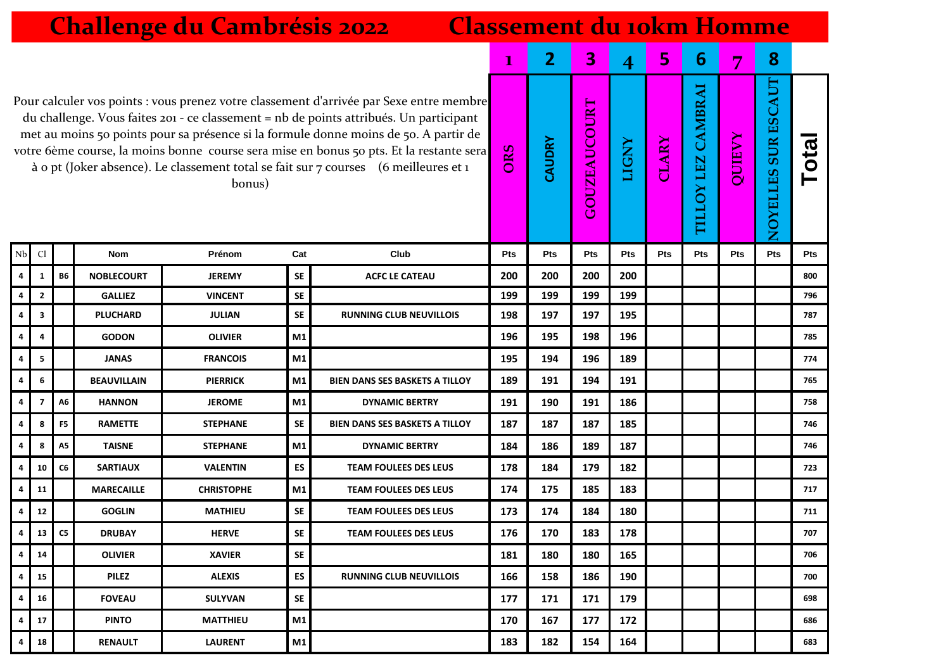|                         | <b>Challenge du Cambrésis 2022</b><br><b>Classement du 10km Homme</b>                                                                                                                                                                                                                                                                                                                                                                                                  |                |                    |                   |              |                                       |                         |                |                         |       |                |                               |            |                                     |       |
|-------------------------|------------------------------------------------------------------------------------------------------------------------------------------------------------------------------------------------------------------------------------------------------------------------------------------------------------------------------------------------------------------------------------------------------------------------------------------------------------------------|----------------|--------------------|-------------------|--------------|---------------------------------------|-------------------------|----------------|-------------------------|-------|----------------|-------------------------------|------------|-------------------------------------|-------|
|                         |                                                                                                                                                                                                                                                                                                                                                                                                                                                                        |                |                    |                   | $\mathbf{I}$ | $\overline{2}$                        | $\overline{\mathbf{3}}$ | $\overline{4}$ | 5                       | 6     | $\overline{7}$ | 8                             |            |                                     |       |
|                         | Pour calculer vos points : vous prenez votre classement d'arrivée par Sexe entre membre<br>du challenge. Vous faites 201 - ce classement = nb de points attribués. Un participant<br>met au moins 50 points pour sa présence si la formule donne moins de 50. A partir de<br>votre 6ème course, la moins bonne course sera mise en bonus 50 pts. Et la restante sera<br>à o pt (Joker absence). Le classement total se fait sur 7 courses (6 meilleures et 1<br>bonus) |                |                    |                   |              |                                       |                         |                | <b>OUZEAUCOURT</b><br>ڻ | LIGNY | <b>CLARY</b>   | <b>OY LEZ CAMBRAI</b><br>TILL | QUIEVY     | <b>SURESCAUT</b><br><b>NOYELLES</b> | Total |
| Nb                      | Cl                                                                                                                                                                                                                                                                                                                                                                                                                                                                     |                | <b>Nom</b>         | Prénom            | Cat          | Club                                  | Pts                     | <b>Pts</b>     | Pts                     | Pts   | Pts            | Pts                           | <b>Pts</b> | Pts                                 | Pts   |
| $\overline{\mathbf{4}}$ | 1                                                                                                                                                                                                                                                                                                                                                                                                                                                                      | <b>B6</b>      | <b>NOBLECOURT</b>  | <b>JEREMY</b>     | SE           | <b>ACFC LE CATEAU</b>                 | 200                     | 200            | 200                     | 200   |                |                               |            |                                     | 800   |
| 4                       | $\mathbf{2}$                                                                                                                                                                                                                                                                                                                                                                                                                                                           |                | <b>GALLIEZ</b>     | <b>VINCENT</b>    | <b>SE</b>    |                                       | 199                     | 199            | 199                     | 199   |                |                               |            |                                     | 796   |
| 4                       | 3                                                                                                                                                                                                                                                                                                                                                                                                                                                                      |                | <b>PLUCHARD</b>    | <b>JULIAN</b>     | <b>SE</b>    | <b>RUNNING CLUB NEUVILLOIS</b>        | 198                     | 197            | 197                     | 195   |                |                               |            |                                     | 787   |
| 4                       | 4                                                                                                                                                                                                                                                                                                                                                                                                                                                                      |                | <b>GODON</b>       | <b>OLIVIER</b>    | M1           |                                       | 196                     | 195            | 198                     | 196   |                |                               |            |                                     | 785   |
| 4                       | 5                                                                                                                                                                                                                                                                                                                                                                                                                                                                      |                | <b>JANAS</b>       | <b>FRANCOIS</b>   | M1           |                                       | 195                     | 194            | 196                     | 189   |                |                               |            |                                     | 774   |
| 4                       | 6                                                                                                                                                                                                                                                                                                                                                                                                                                                                      |                | <b>BEAUVILLAIN</b> | <b>PIERRICK</b>   | M1           | <b>BIEN DANS SES BASKETS A TILLOY</b> | 189                     | 191            | 194                     | 191   |                |                               |            |                                     | 765   |
| 4                       | $\overline{\mathbf{z}}$                                                                                                                                                                                                                                                                                                                                                                                                                                                | А6             | <b>HANNON</b>      | <b>JEROME</b>     | M1           | <b>DYNAMIC BERTRY</b>                 | 191                     | 190            | 191                     | 186   |                |                               |            |                                     | 758   |
| 4                       | 8                                                                                                                                                                                                                                                                                                                                                                                                                                                                      | F <sub>5</sub> | <b>RAMETTE</b>     | <b>STEPHANE</b>   | <b>SE</b>    | <b>BIEN DANS SES BASKETS A TILLOY</b> | 187                     | 187            | 187                     | 185   |                |                               |            |                                     | 746   |
| 4                       | 8                                                                                                                                                                                                                                                                                                                                                                                                                                                                      | <b>A5</b>      | <b>TAISNE</b>      | <b>STEPHANE</b>   | M1           | <b>DYNAMIC BERTRY</b>                 | 184                     | 186            | 189                     | 187   |                |                               |            |                                     | 746   |
| 4                       | 10                                                                                                                                                                                                                                                                                                                                                                                                                                                                     | C6             | <b>SARTIAUX</b>    | <b>VALENTIN</b>   | ES           | <b>TEAM FOULEES DES LEUS</b>          | 178                     | 184            | 179                     | 182   |                |                               |            |                                     | 723   |
| 4                       | 11                                                                                                                                                                                                                                                                                                                                                                                                                                                                     |                | <b>MARECAILLE</b>  | <b>CHRISTOPHE</b> | M1           | <b>TEAM FOULEES DES LEUS</b>          | 174                     | 175            | 185                     | 183   |                |                               |            |                                     | 717   |
| 4                       | 12                                                                                                                                                                                                                                                                                                                                                                                                                                                                     |                | <b>GOGLIN</b>      | <b>MATHIEU</b>    | <b>SE</b>    | <b>TEAM FOULEES DES LEUS</b>          | 173                     | 174            | 184                     | 180   |                |                               |            |                                     | 711   |
| 4                       | 13 <sup>1</sup>                                                                                                                                                                                                                                                                                                                                                                                                                                                        | C5             | <b>DRUBAY</b>      | <b>HERVE</b>      | SE           | <b>TEAM FOULEES DES LEUS</b>          | 176                     | 170            | 183                     | 178   |                |                               |            |                                     | 707   |
| 4                       | 14                                                                                                                                                                                                                                                                                                                                                                                                                                                                     |                | <b>OLIVIER</b>     | <b>XAVIER</b>     | SE           |                                       | 181                     | 180            | 180                     | 165   |                |                               |            |                                     | 706   |
| 4                       | 15                                                                                                                                                                                                                                                                                                                                                                                                                                                                     |                | <b>PILEZ</b>       | <b>ALEXIS</b>     | ES           | <b>RUNNING CLUB NEUVILLOIS</b>        | 166                     | 158            | 186                     | 190   |                |                               |            |                                     | 700   |
| 4                       | 16                                                                                                                                                                                                                                                                                                                                                                                                                                                                     |                | <b>FOVEAU</b>      | <b>SULYVAN</b>    | <b>SE</b>    |                                       | 177                     | 171            | 171                     | 179   |                |                               |            |                                     | 698   |
| 4                       | 17                                                                                                                                                                                                                                                                                                                                                                                                                                                                     |                | <b>PINTO</b>       | <b>MATTHIEU</b>   | M1           |                                       | 170                     | 167            | 177                     | 172   |                |                               |            |                                     | 686   |
| 4                       | 18                                                                                                                                                                                                                                                                                                                                                                                                                                                                     |                | <b>RENAULT</b>     | <b>LAURENT</b>    | M1           |                                       | 183                     | 182            | 154                     | 164   |                |                               |            |                                     | 683   |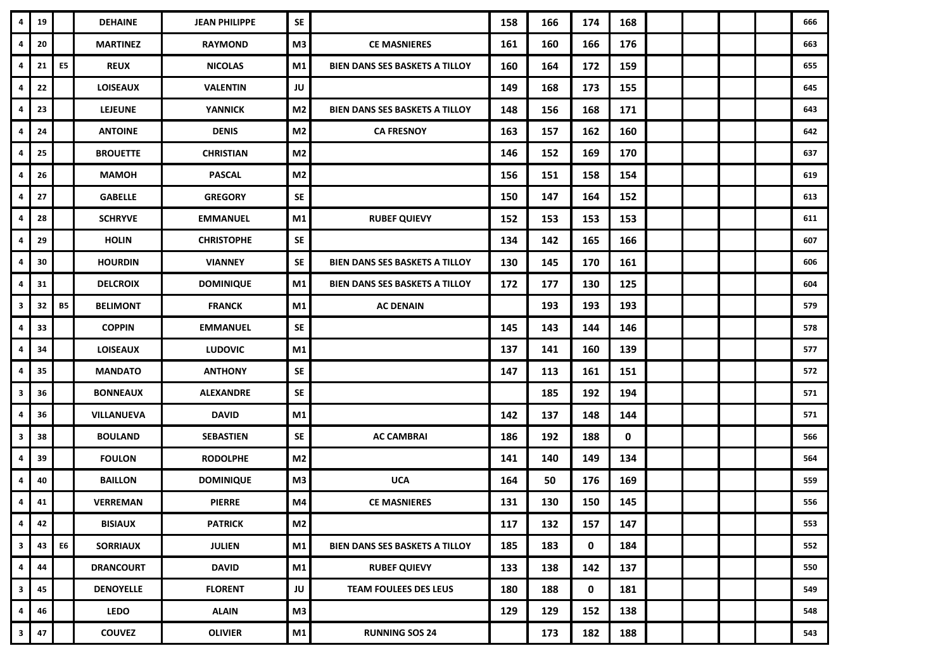| 4                       | 19 |           | <b>DEHAINE</b>    | <b>JEAN PHILIPPE</b> | SE             |                                       | 158 | 166 | 174         | 168         |  |  | 666 |
|-------------------------|----|-----------|-------------------|----------------------|----------------|---------------------------------------|-----|-----|-------------|-------------|--|--|-----|
| 4                       | 20 |           | <b>MARTINEZ</b>   | <b>RAYMOND</b>       | M3             | <b>CE MASNIERES</b>                   | 161 | 160 | 166         | 176         |  |  | 663 |
| 4                       | 21 | E5        | <b>REUX</b>       | <b>NICOLAS</b>       | M1             | <b>BIEN DANS SES BASKETS A TILLOY</b> | 160 | 164 | 172         | 159         |  |  | 655 |
| 4                       | 22 |           | <b>LOISEAUX</b>   | <b>VALENTIN</b>      | JU             |                                       | 149 | 168 | 173         | 155         |  |  | 645 |
| 4                       | 23 |           | <b>LEJEUNE</b>    | <b>YANNICK</b>       | M <sub>2</sub> | BIEN DANS SES BASKETS A TILLOY        | 148 | 156 | 168         | 171         |  |  | 643 |
| 4                       | 24 |           | <b>ANTOINE</b>    | <b>DENIS</b>         | M <sub>2</sub> | <b>CA FRESNOY</b>                     | 163 | 157 | 162         | 160         |  |  | 642 |
| 4                       | 25 |           | <b>BROUETTE</b>   | <b>CHRISTIAN</b>     | M2             |                                       | 146 | 152 | 169         | 170         |  |  | 637 |
| 4                       | 26 |           | <b>MAMOH</b>      | <b>PASCAL</b>        | M <sub>2</sub> |                                       | 156 | 151 | 158         | 154         |  |  | 619 |
| 4                       | 27 |           | <b>GABELLE</b>    | <b>GREGORY</b>       | SE             |                                       | 150 | 147 | 164         | 152         |  |  | 613 |
| 4                       | 28 |           | <b>SCHRYVE</b>    | <b>EMMANUEL</b>      | M1             | <b>RUBEF QUIEVY</b>                   | 152 | 153 | 153         | 153         |  |  | 611 |
| 4                       | 29 |           | <b>HOLIN</b>      | <b>CHRISTOPHE</b>    | SE             |                                       | 134 | 142 | 165         | 166         |  |  | 607 |
| 4                       | 30 |           | <b>HOURDIN</b>    | <b>VIANNEY</b>       | SE             | BIEN DANS SES BASKETS A TILLOY        | 130 | 145 | 170         | 161         |  |  | 606 |
| 4                       | 31 |           | <b>DELCROIX</b>   | <b>DOMINIQUE</b>     | M1             | <b>BIEN DANS SES BASKETS A TILLOY</b> | 172 | 177 | 130         | 125         |  |  | 604 |
| 3                       | 32 | <b>B5</b> | <b>BELIMONT</b>   | <b>FRANCK</b>        | M1             | <b>AC DENAIN</b>                      |     | 193 | 193         | 193         |  |  | 579 |
| 4                       | 33 |           | <b>COPPIN</b>     | <b>EMMANUEL</b>      | SE             |                                       | 145 | 143 | 144         | 146         |  |  | 578 |
| 4                       | 34 |           | <b>LOISEAUX</b>   | <b>LUDOVIC</b>       | M1             |                                       | 137 | 141 | 160         | 139         |  |  | 577 |
| 4                       | 35 |           | <b>MANDATO</b>    | <b>ANTHONY</b>       | SE             |                                       | 147 | 113 | 161         | 151         |  |  | 572 |
| 3                       | 36 |           | <b>BONNEAUX</b>   | <b>ALEXANDRE</b>     | SE             |                                       |     | 185 | 192         | 194         |  |  | 571 |
| 4                       | 36 |           | <b>VILLANUEVA</b> | <b>DAVID</b>         | M1             |                                       | 142 | 137 | 148         | 144         |  |  | 571 |
| 3                       | 38 |           | <b>BOULAND</b>    | <b>SEBASTIEN</b>     | SE             | <b>AC CAMBRAI</b>                     | 186 | 192 | 188         | $\mathbf 0$ |  |  | 566 |
| 4                       | 39 |           | <b>FOULON</b>     | <b>RODOLPHE</b>      | M <sub>2</sub> |                                       | 141 | 140 | 149         | 134         |  |  | 564 |
| 4                       | 40 |           | <b>BAILLON</b>    | <b>DOMINIQUE</b>     | M3             | <b>UCA</b>                            | 164 | 50  | 176         | 169         |  |  | 559 |
| 4                       | 41 |           | <b>VERREMAN</b>   | <b>PIERRE</b>        | M4             | <b>CE MASNIERES</b>                   | 131 | 130 | 150         | 145         |  |  | 556 |
| $\pmb{4}$               | 42 |           | <b>BISIAUX</b>    | <b>PATRICK</b>       | M <sub>2</sub> |                                       | 117 | 132 | 157         | 147         |  |  | 553 |
| $\overline{\mathbf{3}}$ | 43 | E6        | <b>SORRIAUX</b>   | <b>JULIEN</b>        | M1             | <b>BIEN DANS SES BASKETS A TILLOY</b> | 185 | 183 | $\mathbf 0$ | 184         |  |  | 552 |
| 4                       | 44 |           | <b>DRANCOURT</b>  | <b>DAVID</b>         | M1             | <b>RUBEF QUIEVY</b>                   | 133 | 138 | 142         | 137         |  |  | 550 |
| $\mathbf{3}$            | 45 |           | <b>DENOYELLE</b>  | <b>FLORENT</b>       | JU             | <b>TEAM FOULEES DES LEUS</b>          | 180 | 188 | $\mathbf 0$ | 181         |  |  | 549 |
| 4                       | 46 |           | <b>LEDO</b>       | <b>ALAIN</b>         | M <sub>3</sub> |                                       | 129 | 129 | 152         | 138         |  |  | 548 |
| $\mathbf{3}$            | 47 |           | <b>COUVEZ</b>     | <b>OLIVIER</b>       | M1             | <b>RUNNING SOS 24</b>                 |     | 173 | 182         | 188         |  |  | 543 |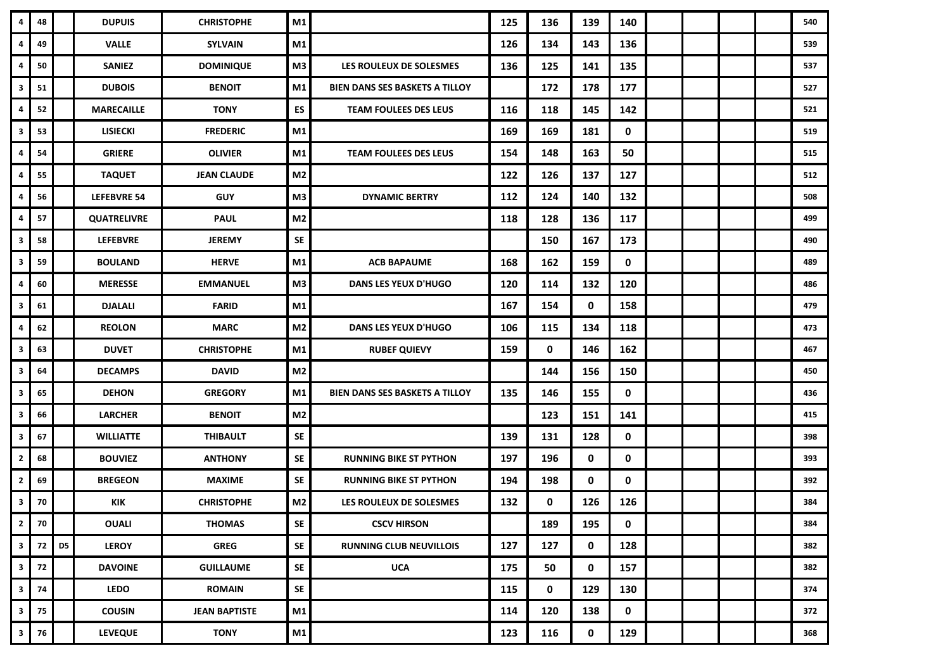| 4                       | 48   |    | <b>DUPUIS</b>      | <b>CHRISTOPHE</b>    | M1             |                                       | 125 | 136 | 139         | 140         |  |  | 540 |
|-------------------------|------|----|--------------------|----------------------|----------------|---------------------------------------|-----|-----|-------------|-------------|--|--|-----|
| 4                       | 49   |    | <b>VALLE</b>       | <b>SYLVAIN</b>       | M1             |                                       | 126 | 134 | 143         | 136         |  |  | 539 |
| 4                       | 50   |    | <b>SANIEZ</b>      | <b>DOMINIQUE</b>     | M3             | LES ROULEUX DE SOLESMES               | 136 | 125 | 141         | 135         |  |  | 537 |
| 3                       | 51   |    | <b>DUBOIS</b>      | <b>BENOIT</b>        | M <sub>1</sub> | <b>BIEN DANS SES BASKETS A TILLOY</b> |     | 172 | 178         | 177         |  |  | 527 |
| 4                       | 52   |    | <b>MARECAILLE</b>  | <b>TONY</b>          | ES             | TEAM FOULEES DES LEUS                 | 116 | 118 | 145         | 142         |  |  | 521 |
| 3                       | 53   |    | <b>LISIECKI</b>    | <b>FREDERIC</b>      | M1             |                                       | 169 | 169 | 181         | $\mathbf 0$ |  |  | 519 |
| 4                       | 54   |    | <b>GRIERE</b>      | <b>OLIVIER</b>       | M1             | <b>TEAM FOULEES DES LEUS</b>          | 154 | 148 | 163         | 50          |  |  | 515 |
| 4                       | 55   |    | <b>TAQUET</b>      | <b>JEAN CLAUDE</b>   | M <sub>2</sub> |                                       | 122 | 126 | 137         | 127         |  |  | 512 |
| 4                       | 56   |    | <b>LEFEBVRE 54</b> | <b>GUY</b>           | M3             | <b>DYNAMIC BERTRY</b>                 | 112 | 124 | 140         | 132         |  |  | 508 |
| 4                       | 57   |    | <b>QUATRELIVRE</b> | <b>PAUL</b>          | M <sub>2</sub> |                                       | 118 | 128 | 136         | 117         |  |  | 499 |
| 3                       | 58   |    | <b>LEFEBVRE</b>    | <b>JEREMY</b>        | SE             |                                       |     | 150 | 167         | 173         |  |  | 490 |
| 3                       | 59   |    | <b>BOULAND</b>     | <b>HERVE</b>         | M <sub>1</sub> | <b>ACB BAPAUME</b>                    | 168 | 162 | 159         | $\mathbf 0$ |  |  | 489 |
| 4                       | 60   |    | <b>MERESSE</b>     | <b>EMMANUEL</b>      | M3             | <b>DANS LES YEUX D'HUGO</b>           | 120 | 114 | 132         | 120         |  |  | 486 |
| 3                       | 61   |    | <b>DJALALI</b>     | <b>FARID</b>         | M1             |                                       | 167 | 154 | $\mathbf 0$ | 158         |  |  | 479 |
| 4                       | 62   |    | <b>REOLON</b>      | <b>MARC</b>          | M <sub>2</sub> | <b>DANS LES YEUX D'HUGO</b>           | 106 | 115 | 134         | 118         |  |  | 473 |
| $\overline{\mathbf{3}}$ | 63   |    | <b>DUVET</b>       | <b>CHRISTOPHE</b>    | M1             | <b>RUBEF QUIEVY</b>                   | 159 | 0   | 146         | 162         |  |  | 467 |
| 3                       | 64   |    | <b>DECAMPS</b>     | <b>DAVID</b>         | M <sub>2</sub> |                                       |     | 144 | 156         | 150         |  |  | 450 |
| 3                       | 65   |    | <b>DEHON</b>       | <b>GREGORY</b>       | M1             | <b>BIEN DANS SES BASKETS A TILLOY</b> | 135 | 146 | 155         | 0           |  |  | 436 |
| 3                       | 66   |    | <b>LARCHER</b>     | <b>BENOIT</b>        | M <sub>2</sub> |                                       |     | 123 | 151         | 141         |  |  | 415 |
| 3                       | 67   |    | <b>WILLIATTE</b>   | <b>THIBAULT</b>      | SE             |                                       | 139 | 131 | 128         | $\mathbf 0$ |  |  | 398 |
| $\overline{2}$          | 68   |    | <b>BOUVIEZ</b>     | <b>ANTHONY</b>       | SE             | <b>RUNNING BIKE ST PYTHON</b>         | 197 | 196 | 0           | 0           |  |  | 393 |
| $\overline{2}$          | 69   |    | <b>BREGEON</b>     | MAXIME               | <b>SE</b>      | <b>RUNNING BIKE ST PYTHON</b>         | 194 | 198 | $\mathbf 0$ | 0           |  |  | 392 |
| 3                       | 70   |    | KIK                | <b>CHRISTOPHE</b>    | M <sub>2</sub> | LES ROULEUX DE SOLESMES               | 132 | 0   | 126         | 126         |  |  | 384 |
| $\overline{\mathbf{2}}$ | 70   |    | <b>OUALI</b>       | <b>THOMAS</b>        | SE             | <b>CSCV HIRSON</b>                    |     | 189 | 195         | 0           |  |  | 384 |
| $\overline{\mathbf{3}}$ | 72 I | D5 | <b>LEROY</b>       | <b>GREG</b>          | SE             | <b>RUNNING CLUB NEUVILLOIS</b>        | 127 | 127 | $\mathbf 0$ | 128         |  |  | 382 |
| $\mathbf{3}$            | 72   |    | <b>DAVOINE</b>     | <b>GUILLAUME</b>     | ${\sf SE}$     | <b>UCA</b>                            | 175 | 50  | 0           | 157         |  |  | 382 |
| $\overline{\mathbf{3}}$ | 74   |    | <b>LEDO</b>        | ROMAIN               | <b>SE</b>      |                                       | 115 | 0   | 129         | 130         |  |  | 374 |
| $\mathbf{3}$            | 75   |    | <b>COUSIN</b>      | <b>JEAN BAPTISTE</b> | M1             |                                       | 114 | 120 | 138         | $\mathbf 0$ |  |  | 372 |
| $\mathbf{3}$            | 76   |    | <b>LEVEQUE</b>     | <b>TONY</b>          | M1             |                                       | 123 | 116 | 0           | 129         |  |  | 368 |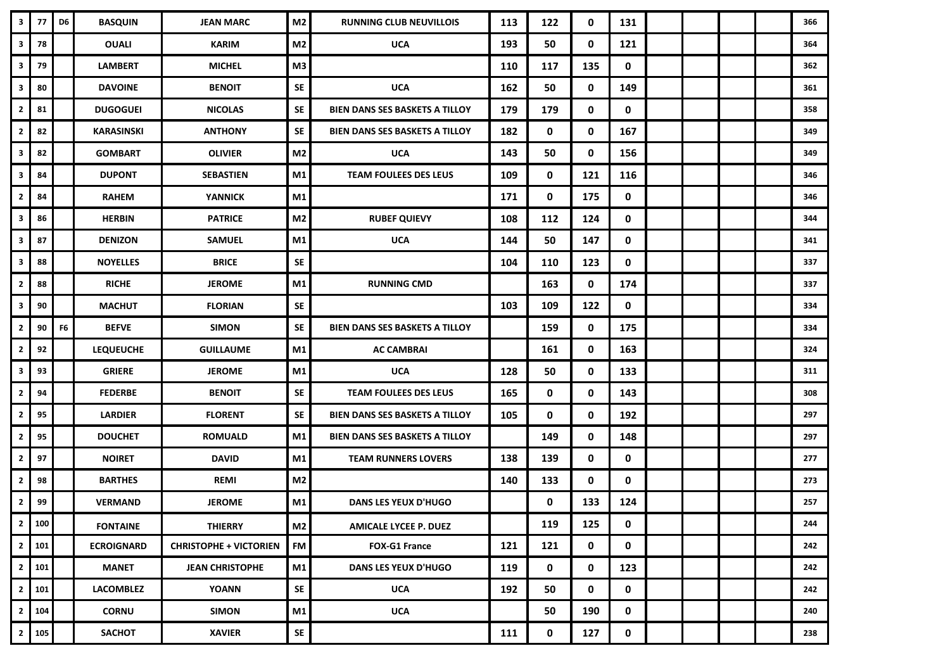| $\overline{\mathbf{3}}$ | 77           | D6             | <b>BASQUIN</b>    | <b>JEAN MARC</b>              | M <sub>2</sub> | <b>RUNNING CLUB NEUVILLOIS</b>        | 113 | 122         | $\mathbf 0$ | 131         |  |  | 366 |
|-------------------------|--------------|----------------|-------------------|-------------------------------|----------------|---------------------------------------|-----|-------------|-------------|-------------|--|--|-----|
| $\overline{\mathbf{3}}$ | 78           |                | <b>OUALI</b>      | <b>KARIM</b>                  | M2             | <b>UCA</b>                            | 193 | 50          | $\mathbf 0$ | 121         |  |  | 364 |
| 3                       | 79           |                | <b>LAMBERT</b>    | <b>MICHEL</b>                 | M3             |                                       | 110 | 117         | 135         | $\mathbf 0$ |  |  | 362 |
| $\mathbf{3}$            | 80           |                | <b>DAVOINE</b>    | <b>BENOIT</b>                 | SE             | <b>UCA</b>                            | 162 | 50          | $\mathbf 0$ | 149         |  |  | 361 |
| $\overline{\mathbf{2}}$ | 81           |                | <b>DUGOGUEI</b>   | <b>NICOLAS</b>                | <b>SE</b>      | <b>BIEN DANS SES BASKETS A TILLOY</b> | 179 | 179         | 0           | $\mathbf 0$ |  |  | 358 |
| $\overline{2}$          | 82           |                | KARASINSKI        | <b>ANTHONY</b>                | <b>SE</b>      | <b>BIEN DANS SES BASKETS A TILLOY</b> | 182 | 0           | $\mathbf 0$ | 167         |  |  | 349 |
| 3                       | 82           |                | <b>GOMBART</b>    | <b>OLIVIER</b>                | M <sub>2</sub> | <b>UCA</b>                            | 143 | 50          | 0           | 156         |  |  | 349 |
| 3                       | 84           |                | <b>DUPONT</b>     | SEBASTIEN                     | M1             | <b>TEAM FOULEES DES LEUS</b>          | 109 | $\mathbf 0$ | 121         | 116         |  |  | 346 |
| $\mathbf{2}$            | 84           |                | <b>RAHEM</b>      | <b>YANNICK</b>                | M1             |                                       | 171 | 0           | 175         | 0           |  |  | 346 |
| 3                       | 86           |                | <b>HERBIN</b>     | <b>PATRICE</b>                | M <sub>2</sub> | <b>RUBEF QUIEVY</b>                   | 108 | 112         | 124         | 0           |  |  | 344 |
| $\overline{\mathbf{3}}$ | 87           |                | <b>DENIZON</b>    | <b>SAMUEL</b>                 | M1             | <b>UCA</b>                            | 144 | 50          | 147         | $\mathbf 0$ |  |  | 341 |
| 3                       | 88           |                | <b>NOYELLES</b>   | <b>BRICE</b>                  | SE             |                                       | 104 | 110         | 123         | 0           |  |  | 337 |
| $\overline{\mathbf{2}}$ | 88           |                | <b>RICHE</b>      | <b>JEROME</b>                 | M1             | <b>RUNNING CMD</b>                    |     | 163         | $\mathbf 0$ | 174         |  |  | 337 |
| 3                       | 90           |                | <b>MACHUT</b>     | <b>FLORIAN</b>                | SE             |                                       | 103 | 109         | 122         | $\mathbf 0$ |  |  | 334 |
| $\overline{2}$          | 90           | F <sub>6</sub> | <b>BEFVE</b>      | <b>SIMON</b>                  | SE             | <b>BIEN DANS SES BASKETS A TILLOY</b> |     | 159         | $\mathbf 0$ | 175         |  |  | 334 |
| $\overline{2}$          | 92           |                | <b>LEQUEUCHE</b>  | <b>GUILLAUME</b>              | M1             | <b>AC CAMBRAI</b>                     |     | 161         | $\mathbf 0$ | 163         |  |  | 324 |
| 3                       | 93           |                | <b>GRIERE</b>     | <b>JEROME</b>                 | M1             | <b>UCA</b>                            | 128 | 50          | $\mathbf 0$ | 133         |  |  | 311 |
| $\mathbf{2}$            | 94           |                | <b>FEDERBE</b>    | <b>BENOIT</b>                 | SE             | <b>TEAM FOULEES DES LEUS</b>          | 165 | 0           | $\mathbf 0$ | 143         |  |  | 308 |
| $\overline{2}$          | 95           |                | <b>LARDIER</b>    | <b>FLORENT</b>                | SE             | BIEN DANS SES BASKETS A TILLOY        | 105 | 0           | $\mathbf 0$ | 192         |  |  | 297 |
| $\overline{2}$          | 95           |                | <b>DOUCHET</b>    | <b>ROMUALD</b>                | M1             | <b>BIEN DANS SES BASKETS A TILLOY</b> |     | 149         | $\mathbf 0$ | 148         |  |  | 297 |
| $\overline{\mathbf{2}}$ | 97           |                | <b>NOIRET</b>     | <b>DAVID</b>                  | M1             | <b>TEAM RUNNERS LOVERS</b>            | 138 | 139         | 0           | 0           |  |  | 277 |
| $\mathbf{2}$            | 98           |                | <b>BARTHES</b>    | <b>REMI</b>                   | M <sub>2</sub> |                                       | 140 | 133         | $\mathbf 0$ | $\mathbf 0$ |  |  | 273 |
| $\overline{2}$          | 99           |                | <b>VERMAND</b>    | <b>JEROME</b>                 | M1             | <b>DANS LES YEUX D'HUGO</b>           |     | 0           | 133         | 124         |  |  | 257 |
|                         | 2 100        |                | <b>FONTAINE</b>   | <b>THIERRY</b>                | M <sub>2</sub> | <b>AMICALE LYCEE P. DUEZ</b>          |     | 119         | 125         | 0           |  |  | 244 |
|                         | $2 \mid 101$ |                | <b>ECROIGNARD</b> | <b>CHRISTOPHE + VICTORIEN</b> | <b>FM</b>      | <b>FOX-G1 France</b>                  | 121 | 121         | 0           | 0           |  |  | 242 |
| $\overline{2}$          | 101          |                | <b>MANET</b>      | <b>JEAN CHRISTOPHE</b>        | M1             | <b>DANS LES YEUX D'HUGO</b>           | 119 | 0           | 0           | 123         |  |  | 242 |
| $\mathbf{2}$            | 101          |                | <b>LACOMBLEZ</b>  | <b>YOANN</b>                  | SE             | <b>UCA</b>                            | 192 | 50          | 0           | 0           |  |  | 242 |
|                         | $2 \mid 104$ |                | <b>CORNU</b>      | <b>SIMON</b>                  | M1             | <b>UCA</b>                            |     | 50          | 190         | $\mathbf 0$ |  |  | 240 |
|                         | $2 \mid 105$ |                | <b>SACHOT</b>     | <b>XAVIER</b>                 | SE             |                                       | 111 | 0           | 127         | 0           |  |  | 238 |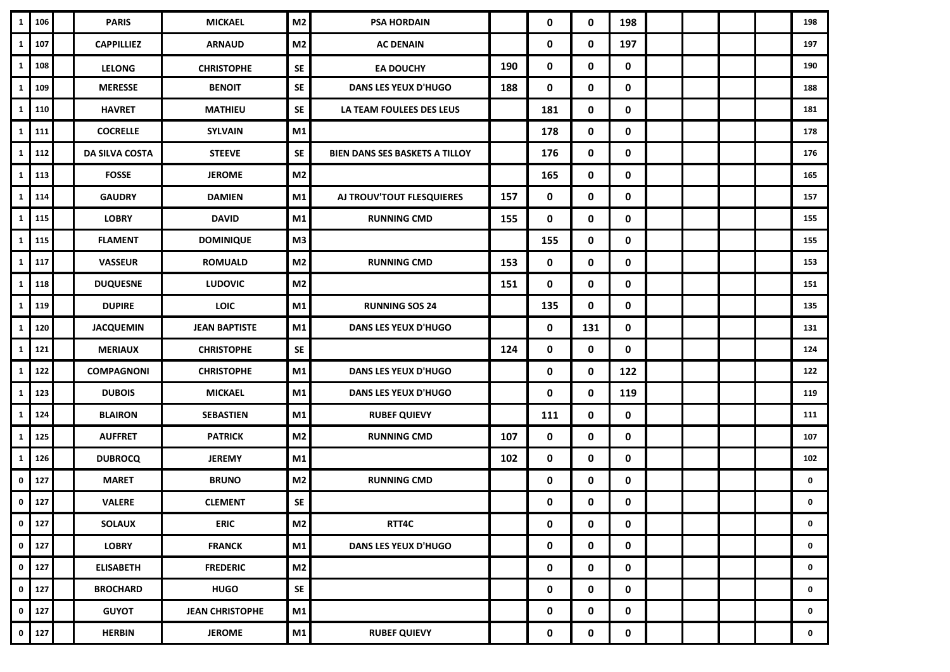| $\mathbf{1}$            | 106     | <b>PARIS</b>          | <b>MICKAEL</b>         | M <sub>2</sub> | <b>PSA HORDAIN</b>                    |     | 0   | 0           | 198         |  |  | 198         |
|-------------------------|---------|-----------------------|------------------------|----------------|---------------------------------------|-----|-----|-------------|-------------|--|--|-------------|
| $\mathbf{1}$            | 107     | <b>CAPPILLIEZ</b>     | <b>ARNAUD</b>          | M2             | <b>AC DENAIN</b>                      |     | 0   | $\mathbf 0$ | 197         |  |  | 197         |
| $\mathbf{1}$            | 108     | <b>LELONG</b>         | <b>CHRISTOPHE</b>      | <b>SE</b>      | <b>EA DOUCHY</b>                      | 190 | 0   | 0           | 0           |  |  | 190         |
| $\mathbf{1}$            | 109     | <b>MERESSE</b>        | <b>BENOIT</b>          | <b>SE</b>      | <b>DANS LES YEUX D'HUGO</b>           | 188 | 0   | 0           | 0           |  |  | 188         |
| $\mathbf{1}$            | 110     | <b>HAVRET</b>         | <b>MATHIEU</b>         | <b>SE</b>      | LA TEAM FOULEES DES LEUS              |     | 181 | 0           | 0           |  |  | 181         |
| $\mathbf{1}$            | 111     | <b>COCRELLE</b>       | <b>SYLVAIN</b>         | M1             |                                       |     | 178 | 0           | 0           |  |  | 178         |
| $\mathbf{1}$            | 112     | <b>DA SILVA COSTA</b> | <b>STEEVE</b>          | <b>SE</b>      | <b>BIEN DANS SES BASKETS A TILLOY</b> |     | 176 | 0           | 0           |  |  | 176         |
| $\mathbf{1}$            | 113     | <b>FOSSE</b>          | <b>JEROME</b>          | M <sub>2</sub> |                                       |     | 165 | 0           | 0           |  |  | 165         |
| $\mathbf{1}$            | 114     | <b>GAUDRY</b>         | <b>DAMIEN</b>          | M1             | AJ TROUV'TOUT FLESQUIERES             | 157 | 0   | 0           | 0           |  |  | 157         |
| $\mathbf{1}$            | 115     | <b>LOBRY</b>          | <b>DAVID</b>           | M1             | <b>RUNNING CMD</b>                    | 155 | 0   | 0           | 0           |  |  | 155         |
| $\mathbf{1}$            | 115     | <b>FLAMENT</b>        | <b>DOMINIQUE</b>       | M3             |                                       |     | 155 | 0           | $\mathbf 0$ |  |  | 155         |
| 1                       | 117     | <b>VASSEUR</b>        | <b>ROMUALD</b>         | M2             | <b>RUNNING CMD</b>                    | 153 | 0   | 0           | 0           |  |  | 153         |
| $\mathbf{1}$            | 118     | <b>DUQUESNE</b>       | <b>LUDOVIC</b>         | M <sub>2</sub> |                                       | 151 | 0   | 0           | 0           |  |  | 151         |
| $\mathbf{1}$            | 119     | <b>DUPIRE</b>         | LOIC                   | M1             | <b>RUNNING SOS 24</b>                 |     | 135 | 0           | 0           |  |  | 135         |
| $\mathbf{1}$            | 120     | <b>JACQUEMIN</b>      | <b>JEAN BAPTISTE</b>   | M1             | <b>DANS LES YEUX D'HUGO</b>           |     | 0   | 131         | 0           |  |  | 131         |
| $\mathbf{1}$            | 121     | <b>MERIAUX</b>        | <b>CHRISTOPHE</b>      | <b>SE</b>      |                                       | 124 | 0   | $\mathbf 0$ | 0           |  |  | 124         |
| $\mathbf{1}$            | 122     | <b>COMPAGNONI</b>     | <b>CHRISTOPHE</b>      | M1             | <b>DANS LES YEUX D'HUGO</b>           |     | 0   | 0           | 122         |  |  | 122         |
| $\mathbf{1}$            | 123     | <b>DUBOIS</b>         | <b>MICKAEL</b>         | M1             | <b>DANS LES YEUX D'HUGO</b>           |     | 0   | 0           | 119         |  |  | 119         |
| $\mathbf{1}$            | 124     | <b>BLAIRON</b>        | <b>SEBASTIEN</b>       | M1             | <b>RUBEF QUIEVY</b>                   |     | 111 | 0           | 0           |  |  | 111         |
| $\mathbf{1}$            | 125     | <b>AUFFRET</b>        | <b>PATRICK</b>         | M2             | <b>RUNNING CMD</b>                    | 107 | 0   | 0           | 0           |  |  | 107         |
| 1                       | 126     | <b>DUBROCQ</b>        | <b>JEREMY</b>          | M1             |                                       | 102 | 0   | 0           | 0           |  |  | 102         |
| $\mathbf 0$             | 127     | <b>MARET</b>          | <b>BRUNO</b>           | M2             | <b>RUNNING CMD</b>                    |     | 0   | 0           | 0           |  |  | 0           |
| $\mathbf 0$             | 127     | <b>VALERE</b>         | <b>CLEMENT</b>         | SE             |                                       |     | 0   | 0           | 0           |  |  | 0           |
| $\circ$ 1               | 127     | <b>SOLAUX</b>         | <b>ERIC</b>            | M2             | RTT4C                                 |     | 0   | $\mathbf 0$ | 0           |  |  | 0           |
|                         | $0$ 127 | <b>LOBRY</b>          | <b>FRANCK</b>          | M1             | <b>DANS LES YEUX D'HUGO</b>           |     | 0   | $\mathbf 0$ | 0           |  |  | 0           |
| $\mathbf 0$             | 127     | <b>ELISABETH</b>      | <b>FREDERIC</b>        | M <sub>2</sub> |                                       |     | 0   | 0           | 0           |  |  | 0           |
| $\pmb{0}$               | 127     | <b>BROCHARD</b>       | <b>HUGO</b>            | <b>SE</b>      |                                       |     | 0   | 0           | 0           |  |  | 0           |
| $\mathbf 0$             | 127     | <b>GUYOT</b>          | <b>JEAN CHRISTOPHE</b> | M1             |                                       |     | 0   | 0           | 0           |  |  | 0           |
| $\overline{\mathbf{0}}$ | 127     | <b>HERBIN</b>         | <b>JEROME</b>          | M1             | <b>RUBEF QUIEVY</b>                   |     | 0   | 0           | 0           |  |  | $\mathbf 0$ |